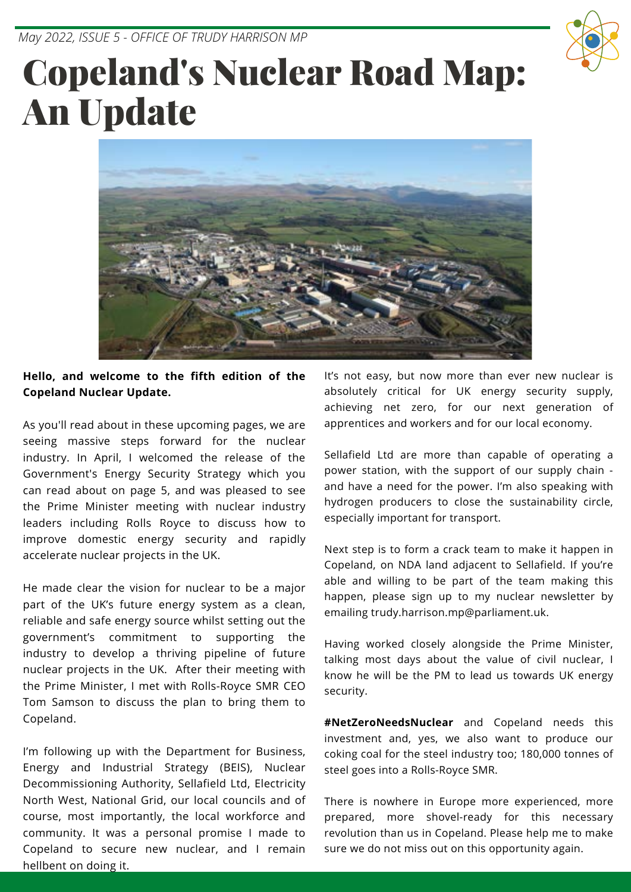*May 2022, ISSUE 5 - OFFICE OF TRUDY HARRISON MP*



# Copeland's Nuclear Road Map: An Update



#### **Hello, and welcome to the fifth edition of the Copeland Nuclear Update.**

As you'll read about in these upcoming pages, we are seeing massive steps forward for the nuclear industry. In April, I welcomed the release of the Government's Energy Security Strategy which you can read about on page 5, and was pleased to see the Prime Minister meeting with nuclear industry leaders including Rolls Royce to discuss how to improve domestic energy security and rapidly accelerate nuclear projects in the UK.

He made clear the vision for nuclear to be a major part of the UK's future energy system as a clean, reliable and safe energy source whilst setting out the government's commitment to supporting the industry to develop a thriving pipeline of future nuclear projects in the UK. After their meeting with the Prime Minister, I met with [Rolls-Royce SMR](https://www.linkedin.com/company/rolls-royce-smr/) CEO Tom Samson to discuss the plan to bring them to Copeland.

I'm following up with the Department for Business, [Energy and Industrial Strategy \(BEIS\), Nuclear](https://www.linkedin.com/company/beisgovuk/) [Decommissioning Authority, Sellafield Ltd, Electricity](https://www.linkedin.com/company/nuclear-decommissioning-authority/) North West, [National Grid,](https://www.linkedin.com/company/national-grid/) our local councils and of course, most importantly, the local workforce and community. It was a personal promise I made to Copeland to secure new nuclear, and I remain hellbent on doing it.

It's not easy, but now more than ever new nuclear is absolutely critical for UK energy security supply, achieving net zero, for our next generation of apprentices and workers and for our local economy.

Sellafield Ltd are more than capable of operating a power station, with the support of our supply chain and have a need for the power. I'm also speaking with hydrogen producers to close the sustainability circle, especially important for transport.

Next step is to form a crack team to make it happen in Copeland, on NDA land adjacent to Sellafield. If you're able and willing to be part of the team making this happen, please sign up to my nuclear newsletter by emailing trudy.harrison.mp@parliament.uk.

Having worked closely alongside the Prime Minister, talking most days about the value of civil nuclear, I know he will be the PM to lead us towards UK energy security.

**[#NetZeroNeedsNuclear](https://www.facebook.com/hashtag/netzeroneedsnuclear?__eep__=6&__cft__[0]=AZUnrkP2WINNgMFc19labh1ezrykm6Dmk00F2uCmZFFi7rTX9dUtxxUQ_6ljBb69cUc7ZB6Oi4JFG_JxCAwFDLgrn1KSBAEn2lrhDT0E_X5dVN9DyqAhznOJCNrk6ng0FENQb0utycKaemP27sbZnKXsRoIgDvmBXBtOgY8FeLM4Ag&__tn__=*NK-R)** and Copeland needs this investment and, yes, we also want to produce our coking coal for the steel industry too; 180,000 tonnes of steel goes into a Rolls-Royce SMR.

There is nowhere in Europe more experienced, more prepared, more shovel-ready for this necessary revolution than us in Copeland. Please help me to make sure we do not miss out on this opportunity again.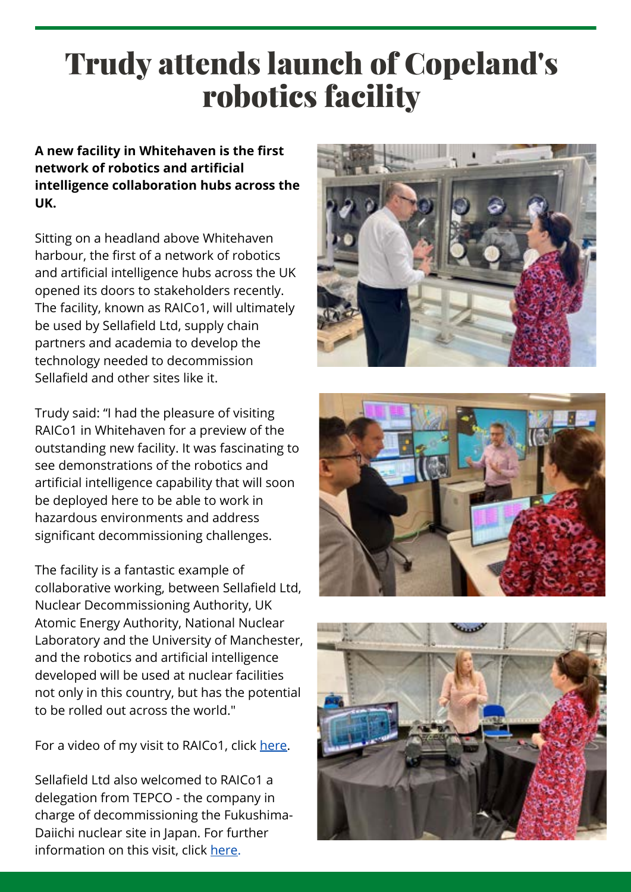## Trudy attends launch of Copeland's robotics facility

**A new facility in Whitehaven is the first network of robotics and artificial intelligence collaboration hubs across the UK.**

Sitting on a headland above Whitehaven harbour, the first of a network of robotics and artificial intelligence hubs across the UK opened its doors to stakeholders recently. The facility, known as RAICo1, will ultimately be used by Sellafield Ltd, supply chain partners and academia to develop the technology needed to decommission Sellafield and other sites like it.

Trudy said: "I had the pleasure of visiting RAICo1 in Whitehaven for a preview of the outstanding new facility. It was fascinating to see demonstrations of the robotics and artificial intelligence capability that will soon be deployed here to be able to work in hazardous environments and address significant decommissioning challenges.

The facility is a fantastic example of collaborative working, between Sellafield Ltd, Nuclear Decommissioning Authority, UK Atomic Energy Authority, National Nuclear Laboratory and the University of Manchester, and the robotics and artificial intelligence developed will be used at nuclear facilities not only in this country, but has the potential to be rolled out across the world."

For a video of my visit to RAICo1, click [here](https://www.facebook.com/SellafieldLtd/videos/1151427458962937).

Sellafield Ltd also welcomed to RAICo1 a delegation from TEPCO - the company in charge of decommissioning the Fukushima-Daiichi nuclear site in Japan. For further information on this visit, click [here](https://www.politicshome.com/members/article/tepco-visit-to-new-robotics-centre).





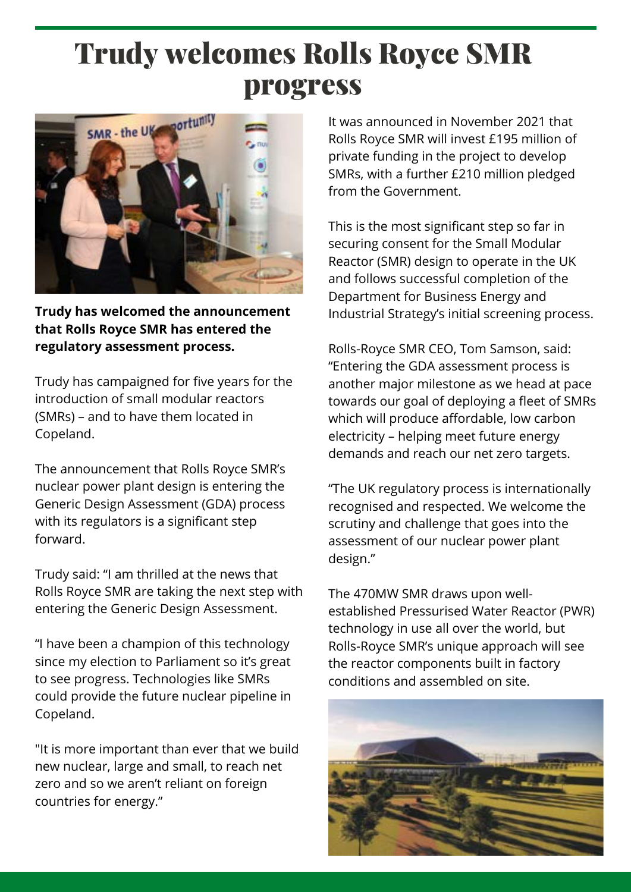## Trudy welcomes Rolls Royce SMR progress



**Trudy has welcomed the announcement that Rolls Royce SMR has entered the regulatory assessment process.**

Trudy has campaigned for five years for the introduction of small modular reactors (SMRs) – and to have them located in Copeland.

The announcement that Rolls Royce SMR's nuclear power plant design is entering the Generic Design Assessment (GDA) process with its regulators is a significant step forward.

Trudy said: "I am thrilled at the news that Rolls Royce SMR are taking the next step with entering the Generic Design Assessment.

"I have been a champion of this technology since my election to Parliament so it's great to see progress. Technologies like SMRs could provide the future nuclear pipeline in Copeland.

"It is more important than ever that we build new nuclear, large and small, to reach net zero and so we aren't reliant on foreign countries for energy."

It was announced in November 2021 that Rolls Royce SMR will invest £195 million of private funding in the project to develop SMRs, with a further £210 million pledged from the Government.

This is the most significant step so far in securing consent for the Small Modular Reactor (SMR) design to operate in the UK and follows successful completion of the Department for Business Energy and Industrial Strategy's initial screening process.

Rolls-Royce SMR CEO, Tom Samson, said: "Entering the GDA assessment process is another major milestone as we head at pace towards our goal of deploying a fleet of SMRs which will produce affordable, low carbon electricity – helping meet future energy demands and reach our net zero targets.

"The UK regulatory process is internationally recognised and respected. We welcome the scrutiny and challenge that goes into the assessment of our nuclear power plant design."

The 470MW SMR draws upon wellestablished Pressurised Water Reactor (PWR) technology in use all over the world, but Rolls-Royce SMR's unique approach will see the reactor components built in factory conditions and assembled on site.

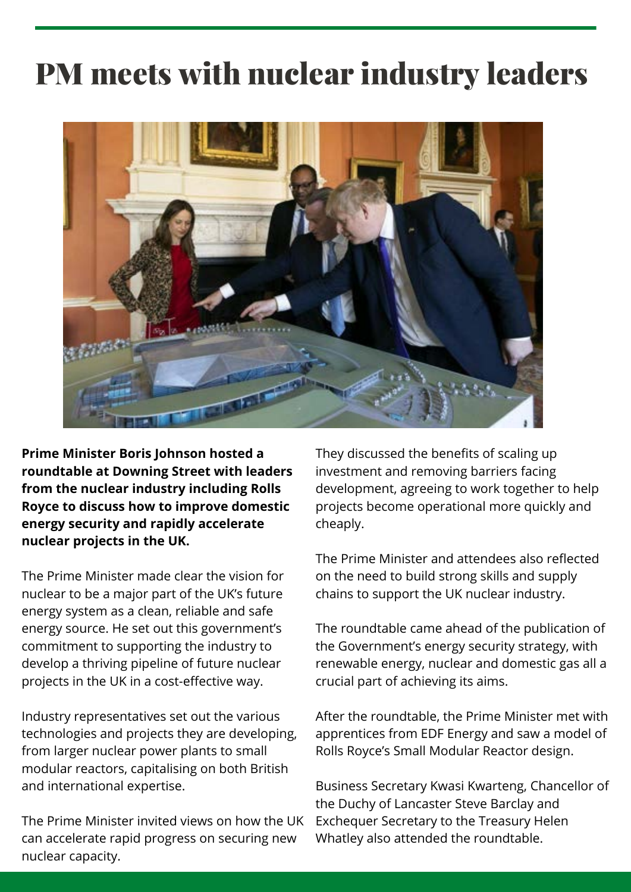## PM meets with nuclear industry leaders



**Prime Minister Boris Johnson hosted a roundtable at Downing Street with leaders from the nuclear industry including Rolls Royce to discuss how to improve domestic energy security and rapidly accelerate nuclear projects in the UK.**

The Prime Minister made clear the vision for nuclear to be a major part of the UK's future energy system as a clean, reliable and safe energy source. He set out this government's commitment to supporting the industry to develop a thriving pipeline of future nuclear projects in the UK in a cost-effective way.

Industry representatives set out the various technologies and projects they are developing, from larger nuclear power plants to small modular reactors, capitalising on both British and international expertise.

The Prime Minister invited views on how the UK can accelerate rapid progress on securing new nuclear capacity.

They discussed the benefits of scaling up investment and removing barriers facing development, agreeing to work together to help projects become operational more quickly and cheaply.

The Prime Minister and attendees also reflected on the need to build strong skills and supply chains to support the UK nuclear industry.

The roundtable came ahead of the publication of the Government's energy security strategy, with renewable energy, nuclear and domestic gas all a crucial part of achieving its aims.

After the roundtable, the Prime Minister met with apprentices from EDF Energy and saw a model of Rolls Royce's Small Modular Reactor design.

Business Secretary Kwasi Kwarteng, Chancellor of the Duchy of Lancaster Steve Barclay and Exchequer Secretary to the Treasury Helen Whatley also attended the roundtable.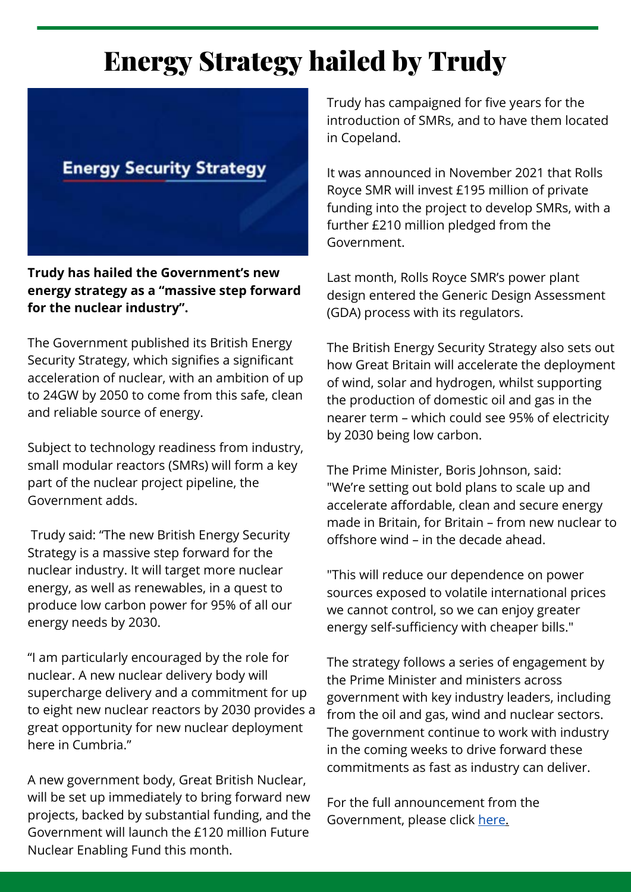### Energy Strategy hailed by Trudy



**Trudy has hailed the Government's new energy strategy as a "massive step forward for the nuclear industry".**

The Government published its British Energy Security Strategy, which signifies a significant acceleration of nuclear, with an ambition of up to 24GW by 2050 to come from this safe, clean and reliable source of energy.

Subject to technology readiness from industry, small modular reactors (SMRs) will form a key part of the nuclear project pipeline, the Government adds.

Trudy said: "The new British Energy Security Strategy is a massive step forward for the nuclear industry. It will target more nuclear energy, as well as renewables, in a quest to produce low carbon power for 95% of all our energy needs by 2030.

"I am particularly encouraged by the role for nuclear. A new nuclear delivery body will supercharge delivery and a commitment for up to eight new nuclear reactors by 2030 provides a great opportunity for new nuclear deployment here in Cumbria."

A new government body, Great British Nuclear, will be set up immediately to bring forward new projects, backed by substantial funding, and the Government will launch the £120 million Future Nuclear Enabling Fund this month.

Trudy has campaigned for five years for the introduction of SMRs, and to have them located in Copeland.

It was announced in November 2021 that Rolls Royce SMR will invest £195 million of private funding into the project to develop SMRs, with a further £210 million pledged from the Government.

Last month, Rolls Royce SMR's power plant design entered the Generic Design Assessment (GDA) process with its regulators.

The British Energy Security Strategy also sets out how Great Britain will accelerate the deployment of wind, solar and hydrogen, whilst supporting the production of domestic oil and gas in the nearer term – which could see 95% of electricity by 2030 being low carbon.

The Prime Minister, Boris Johnson, said: "We're setting out bold plans to scale up and accelerate affordable, clean and secure energy made in Britain, for Britain – from new nuclear to offshore wind – in the decade ahead.

"This will reduce our dependence on power sources exposed to volatile international prices we cannot control, so we can enjoy greater energy self-sufficiency with cheaper bills."

The strategy follows a series of engagement by the Prime Minister and ministers across government with key industry leaders, including from the oil and gas, wind and nuclear sectors. The government continue to work with industry in the coming weeks to drive forward these commitments as fast as industry can deliver.

For the full announcement from the Government, please click [here.](https://www.gov.uk/government/news/major-acceleration-of-homegrown-power-in-britains-plan-for-greater-energy-independence?fbclid=IwAR0gOWwA1cV8lKVnspCkhH8NJ6V5y0JpizY2DMmC_OGVjQ1RVuuNI4xDx1g)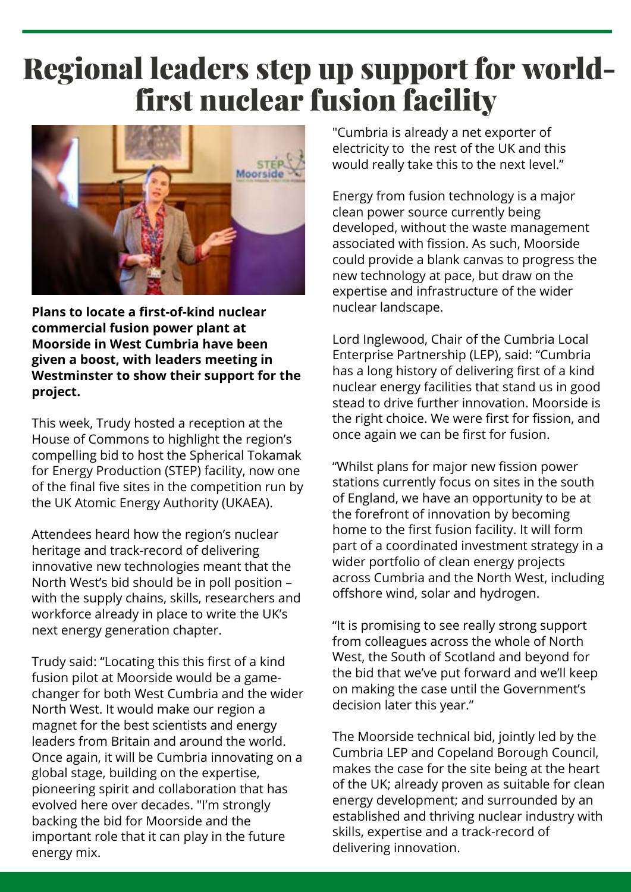### Regional leaders step up support for worldfirst nuclear fusion facility



**Plans to locate a first-of-kind nuclear commercial fusion power plant at Moorside in West Cumbria have been given a boost, with leaders meeting in Westminster to show their support for the project.**

This week, Trudy hosted a reception at the House of Commons to highlight the region's compelling bid to host the Spherical Tokamak for Energy Production (STEP) facility, now one of the final five sites in the competition run by the UK Atomic Energy Authority (UKAEA).

Attendees heard how the region's nuclear heritage and track-record of delivering innovative new technologies meant that the North West's bid should be in poll position – with the supply chains, skills, researchers and workforce already in place to write the UK's next energy generation chapter.

Trudy said: "Locating this this first of a kind fusion pilot at Moorside would be a gamechanger for both West Cumbria and the wider North West. It would make our region a magnet for the best scientists and energy leaders from Britain and around the world. Once again, it will be Cumbria innovating on a global stage, building on the expertise, pioneering spirit and collaboration that has evolved here over decades. "I'm strongly backing the bid for Moorside and the important role that it can play in the future energy mix.

"Cumbria is already a net exporter of electricity to the rest of the UK and this would really take this to the next level."

Energy from fusion technology is a major clean power source currently being developed, without the waste management associated with fission. As such, Moorside could provide a blank canvas to progress the new technology at pace, but draw on the expertise and infrastructure of the wider nuclear landscape.

Lord Inglewood, Chair of the Cumbria Local Enterprise Partnership (LEP), said: "Cumbria has a long history of delivering first of a kind nuclear energy facilities that stand us in good stead to drive further innovation. Moorside is the right choice. We were first for fission, and once again we can be first for fusion.

"Whilst plans for major new fission power stations currently focus on sites in the south of England, we have an opportunity to be at the forefront of innovation by becoming home to the first fusion facility. It will form part of a coordinated investment strategy in a wider portfolio of clean energy projects across Cumbria and the North West, including offshore wind, solar and hydrogen.

"It is promising to see really strong support from colleagues across the whole of North West, the South of Scotland and beyond for the bid that we've put forward and we'll keep on making the case until the Government's decision later this year."

The Moorside technical bid, jointly led by the Cumbria LEP and Copeland Borough Council, makes the case for the site being at the heart of the UK; already proven as suitable for clean energy development; and surrounded by an established and thriving nuclear industry with skills, expertise and a track-record of delivering innovation.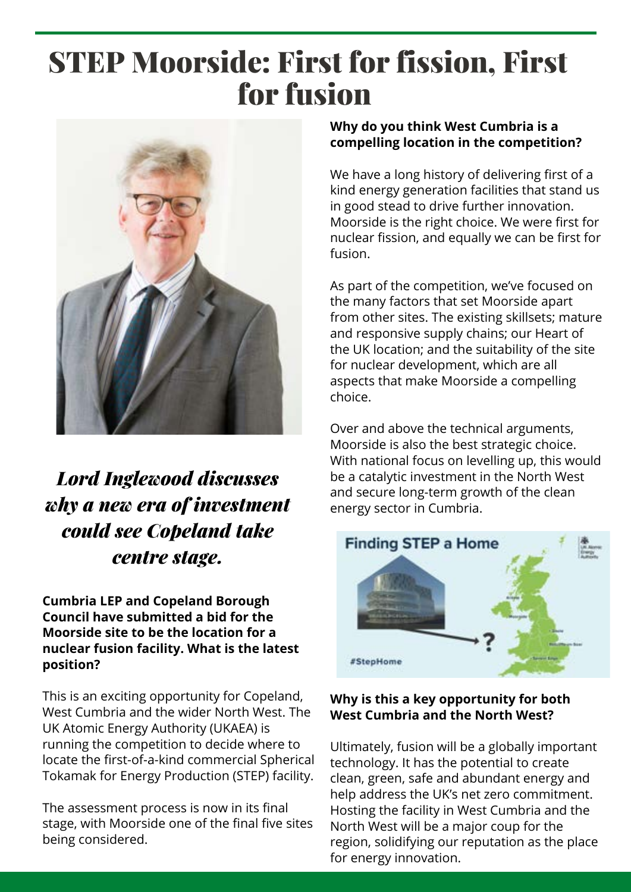## STEP Moorside: First for fission, First for fusion



### *Lord Inglewood discusses why a new era of investment could see Copeland take centre stage.*

**Cumbria LEP and Copeland Borough Council have submitted a bid for the Moorside site to be the location for a nuclear fusion facility. What is the latest position?**

This is an exciting opportunity for Copeland, West Cumbria and the wider North West. The UK Atomic Energy Authority (UKAEA) is running the competition to decide where to locate the first-of-a-kind commercial Spherical Tokamak for Energy Production (STEP) facility.

The assessment process is now in its final stage, with Moorside one of the final five sites being considered.

#### **Why do you think West Cumbria is a compelling location in the competition?**

We have a long history of delivering first of a kind energy generation facilities that stand us in good stead to drive further innovation. Moorside is the right choice. We were first for nuclear fission, and equally we can be first for fusion.

As part of the competition, we've focused on the many factors that set Moorside apart from other sites. The existing skillsets; mature and responsive supply chains; our Heart of the UK location; and the suitability of the site for nuclear development, which are all aspects that make Moorside a compelling choice.

Over and above the technical arguments, Moorside is also the best strategic choice. With national focus on levelling up, this would be a catalytic investment in the North West and secure long-term growth of the clean energy sector in Cumbria.



#### **Why is this a key opportunity for both West Cumbria and the North West?**

Ultimately, fusion will be a globally important technology. It has the potential to create clean, green, safe and abundant energy and help address the UK's net zero commitment. Hosting the facility in West Cumbria and the North West will be a major coup for the region, solidifying our reputation as the place for energy innovation.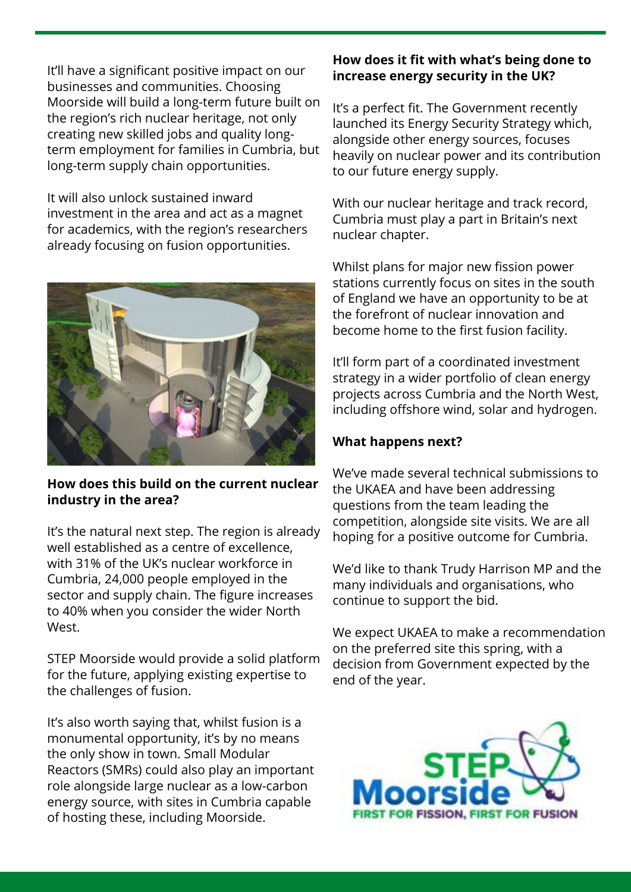It'll have a significant positive impact on our businesses and communities. Choosing Moorside will build a long-term future built on the region's rich nuclear heritage, not only creating new skilled jobs and quality longterm employment for families in Cumbria, but long-term supply chain opportunities.

It will also unlock sustained inward investment in the area and act as a magnet for academics, with the region's researchers already focusing on fusion opportunities.



#### **How does this build on the current nuclear industry in the area?**

It's the natural next step. The region is already well established as a centre of excellence, with 31% of the UK's nuclear workforce in Cumbria, 24,000 people employed in the sector and supply chain. The figure increases to 40% when you consider the wider North West.

STEP Moorside would provide a solid platform for the future, applying existing expertise to the challenges of fusion.

It's also worth saying that, whilst fusion is a monumental opportunity, it's by no means the only show in town. Small Modular Reactors (SMRs) could also play an important role alongside large nuclear as a low-carbon energy source, with sites in Cumbria capable of hosting these, including Moorside.

#### **How does it fit with what's being done to increase energy security in the UK?**

It's a perfect fit. The Government recently launched its Energy Security Strategy which, alongside other energy sources, focuses heavily on nuclear power and its contribution to our future energy supply.

With our nuclear heritage and track record, Cumbria must play a part in Britain's next nuclear chapter.

Whilst plans for major new fission power stations currently focus on sites in the south of England we have an opportunity to be at the forefront of nuclear innovation and become home to the first fusion facility.

It'll form part of a coordinated investment strategy in a wider portfolio of clean energy projects across Cumbria and the North West, including offshore wind, solar and hydrogen.

#### **What happens next?**

We've made several technical submissions to the UKAEA and have been addressing questions from the team leading the competition, alongside site visits. We are all hoping for a positive outcome for Cumbria.

We'd like to thank Trudy Harrison MP and the many individuals and organisations, who continue to support the bid.

We expect UKAEA to make a recommendation on the preferred site this spring, with a decision from Government expected by the end of the year.

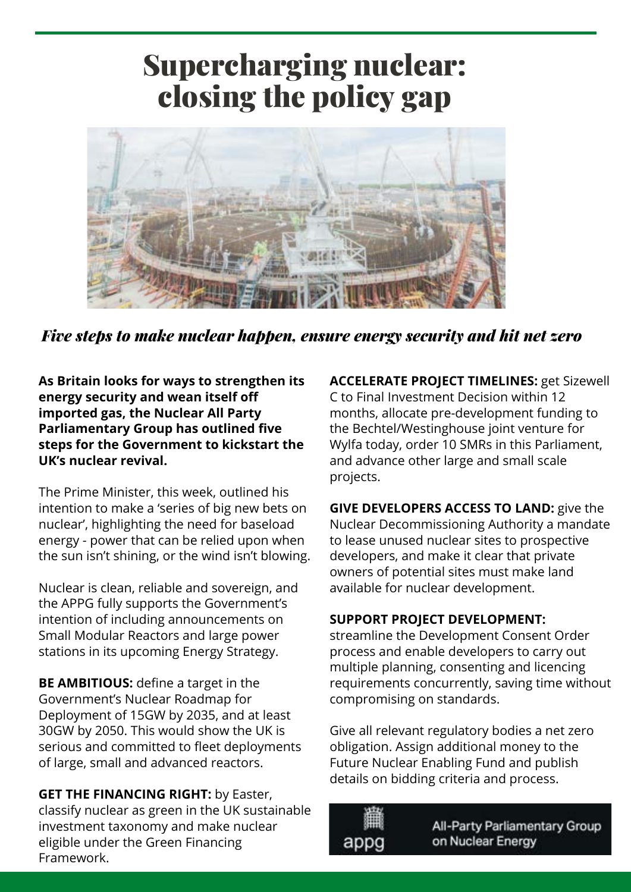### Supercharging nuclear: closing the policy gap



*Five steps to make nuclear happen, ensure energy security and hit net zero*

**As Britain looks for ways to strengthen its energy security and wean itself off imported gas, the Nuclear All Party Parliamentary Group has outlined five steps for the Government to kickstart the UK's nuclear revival.**

The Prime Minister, this week, outlined his intention to make a 'series of big new bets on nuclear', highlighting the need for baseload energy - power that can be relied upon when the sun isn't shining, or the wind isn't blowing.

Nuclear is clean, reliable and sovereign, and the APPG fully supports the Government's intention of including announcements on Small Modular Reactors and large power stations in its upcoming Energy Strategy.

**BE AMBITIOUS:** define a target in the Government's Nuclear Roadmap for Deployment of 15GW by 2035, and at least 30GW by 2050. This would show the UK is serious and committed to fleet deployments of large, small and advanced reactors.

**GET THE FINANCING RIGHT:** by Easter, classify nuclear as green in the UK sustainable investment taxonomy and make nuclear eligible under the Green Financing Framework.

**ACCELERATE PROJECT TIMELINES:** get Sizewell C to Final Investment Decision within 12 months, allocate pre-development funding to the Bechtel/Westinghouse joint venture for Wylfa today, order 10 SMRs in this Parliament, and advance other large and small scale projects.

**GIVE DEVELOPERS ACCESS TO LAND:** give the Nuclear Decommissioning Authority a mandate to lease unused nuclear sites to prospective developers, and make it clear that private owners of potential sites must make land available for nuclear development.

#### **SUPPORT PROJECT DEVELOPMENT:**

streamline the Development Consent Order process and enable developers to carry out multiple planning, consenting and licencing requirements concurrently, saving time without compromising on standards.

Give all relevant regulatory bodies a net zero obligation. Assign additional money to the Future Nuclear Enabling Fund and publish details on bidding criteria and process.



All-Party Parliamentary Group on Nuclear Energy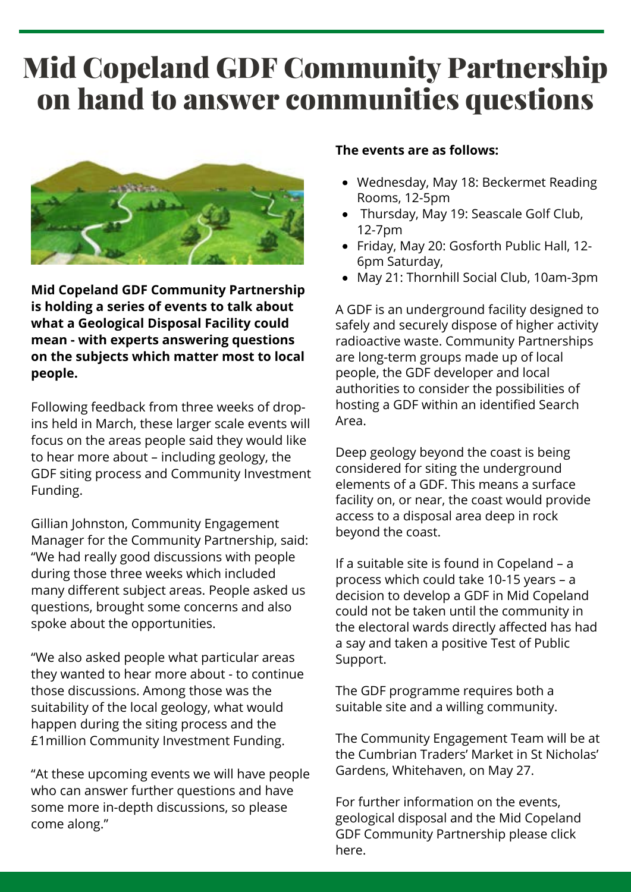### Mid Copeland GDF Community Partnership on hand to answer communities questions



**Mid Copeland GDF Community Partnership is holding a series of events to talk about what a Geological Disposal Facility could mean - with experts answering questions on the subjects which matter most to local people.**

Following feedback from three weeks of dropins held in March, these larger scale events will focus on the areas people said they would like to hear more about – including geology, the GDF siting process and Community Investment Funding.

Gillian Johnston, Community Engagement Manager for the Community Partnership, said: "We had really good discussions with people during those three weeks which included many different subject areas. People asked us questions, brought some concerns and also spoke about the opportunities.

"We also asked people what particular areas they wanted to hear more about - to continue those discussions. Among those was the suitability of the local geology, what would happen during the siting process and the £1million Community Investment Funding.

"At these upcoming events we will have people who can answer further questions and have some more in-depth discussions, so please come along."

#### **The events are as follows:**

- Wednesday, May 18: Beckermet Reading Rooms, 12-5pm
- Thursday, May 19: Seascale Golf Club, 12-7pm
- Friday, May 20: Gosforth Public Hall, 12- 6pm Saturday,
- May 21: Thornhill Social Club, 10am-3pm

A GDF is an underground facility designed to safely and securely dispose of higher activity radioactive waste. Community Partnerships are long-term groups made up of local people, the GDF developer and local authorities to consider the possibilities of hosting a GDF within an identified Search Area.

Deep geology beyond the coast is being considered for siting the underground elements of a GDF. This means a surface facility on, or near, the coast would provide access to a disposal area deep in rock beyond the coast.

If a suitable site is found in Copeland – a process which could take 10-15 years – a decision to develop a GDF in Mid Copeland could not be taken until the community in the electoral wards directly affected has had a say and taken a positive Test of Public Support.

The GDF programme requires both a suitable site and a willing community.

The Community Engagement Team will be at the Cumbrian Traders' Market in St Nicholas' Gardens, Whitehaven, on May 27.

For further information on the events, geological disposal and the Mid Copeland GDF Community Partnership please click here.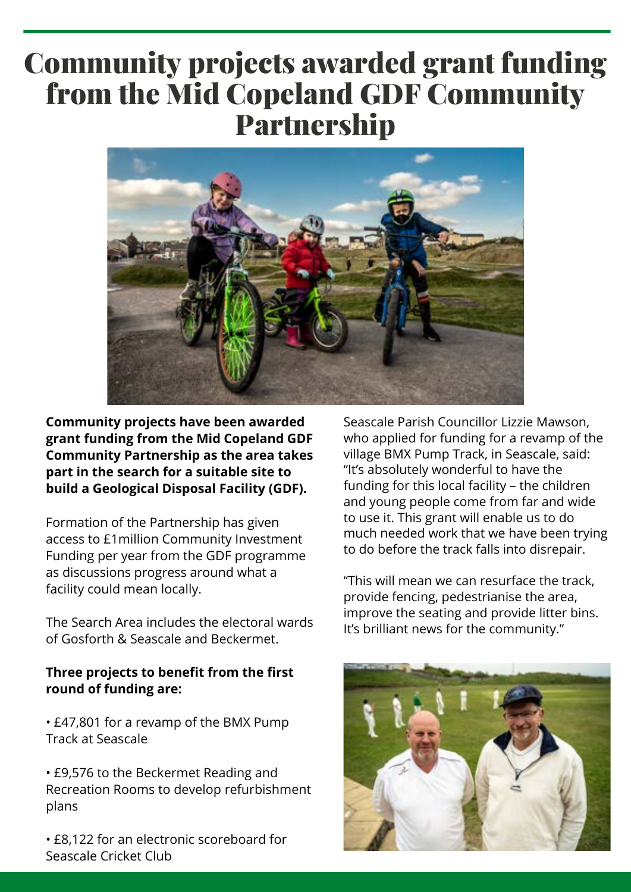### Community projects awarded grant funding from the Mid Copeland GDF Community Partnership



**Community projects have been awarded grant funding from the Mid Copeland GDF Community Partnership as the area takes part in the search for a suitable site to build a Geological Disposal Facility (GDF).**

Formation of the Partnership has given access to £1million Community Investment Funding per year from the GDF programme as discussions progress around what a facility could mean locally.

The Search Area includes the electoral wards of Gosforth & Seascale and Beckermet.

#### **Three projects to benefit from the first round of funding are:**

• £47,801 for a revamp of the BMX Pump Track at Seascale

• £9,576 to the Beckermet Reading and Recreation Rooms to develop refurbishment plans

• £8,122 for an electronic scoreboard for Seascale Cricket Club

Seascale Parish Councillor Lizzie Mawson, who applied for funding for a revamp of the village BMX Pump Track, in Seascale, said: "It's absolutely wonderful to have the funding for this local facility – the children and young people come from far and wide to use it. This grant will enable us to do much needed work that we have been trying to do before the track falls into disrepair.

"This will mean we can resurface the track, provide fencing, pedestrianise the area, improve the seating and provide litter bins. It's brilliant news for the community."

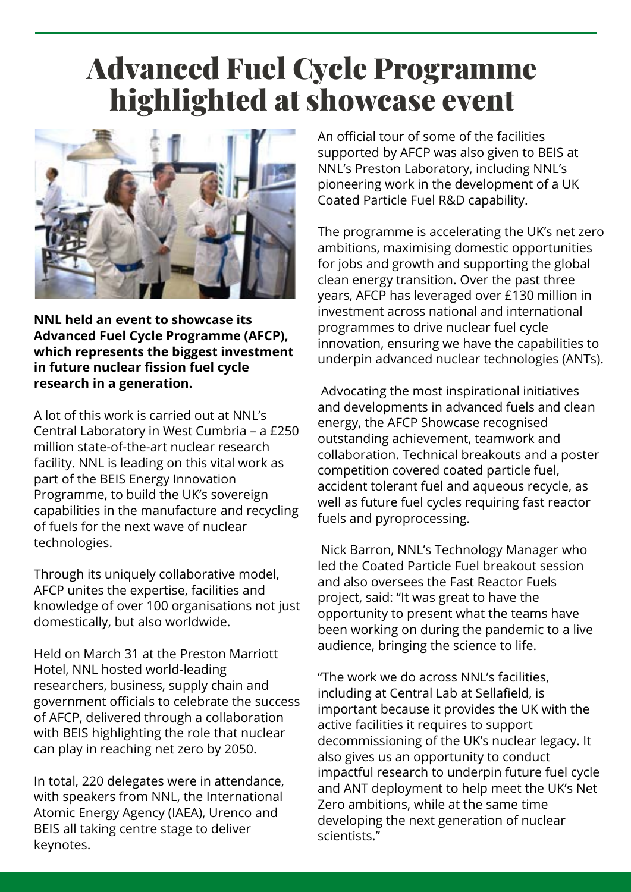### Advanced Fuel Cycle Programme highlighted at showcase event



**NNL held an event to showcase its Advanced Fuel Cycle Programme (AFCP), which represents the biggest investment in future nuclear fission fuel cycle research in a generation.**

A lot of this work is carried out at NNL's Central Laboratory in West Cumbria – a £250 million state-of-the-art nuclear research facility. NNL is leading on this vital work as part of the BEIS Energy Innovation Programme, to build the UK's sovereign capabilities in the manufacture and recycling of fuels for the next wave of nuclear technologies.

Through its uniquely collaborative model, AFCP unites the expertise, facilities and knowledge of over 100 organisations not just domestically, but also worldwide.

Held on March 31 at the Preston Marriott Hotel, NNL hosted world-leading researchers, business, supply chain and government officials to celebrate the success of AFCP, delivered through a collaboration with BEIS highlighting the role that nuclear can play in reaching net zero by 2050.

In total, 220 delegates were in attendance, with speakers from NNL, the International Atomic Energy Agency (IAEA), Urenco and BEIS all taking centre stage to deliver keynotes.

An official tour of some of the facilities supported by AFCP was also given to BEIS at NNL's Preston Laboratory, including NNL's pioneering work in the development of a UK Coated Particle Fuel R&D capability.

The programme is accelerating the UK's net zero ambitions, maximising domestic opportunities for jobs and growth and supporting the global clean energy transition. Over the past three years, AFCP has leveraged over £130 million in investment across national and international programmes to drive nuclear fuel cycle innovation, ensuring we have the capabilities to underpin advanced nuclear technologies (ANTs).

Advocating the most inspirational initiatives and developments in advanced fuels and clean energy, the AFCP Showcase recognised outstanding achievement, teamwork and collaboration. Technical breakouts and a poster competition covered coated particle fuel, accident tolerant fuel and aqueous recycle, as well as future fuel cycles requiring fast reactor fuels and pyroprocessing.

Nick Barron, NNL's Technology Manager who led the Coated Particle Fuel breakout session and also oversees the Fast Reactor Fuels project, said: "It was great to have the opportunity to present what the teams have been working on during the pandemic to a live audience, bringing the science to life.

"The work we do across NNL's facilities, including at Central Lab at Sellafield, is important because it provides the UK with the active facilities it requires to support decommissioning of the UK's nuclear legacy. It also gives us an opportunity to conduct impactful research to underpin future fuel cycle and ANT deployment to help meet the UK's Net Zero ambitions, while at the same time developing the next generation of nuclear scientists."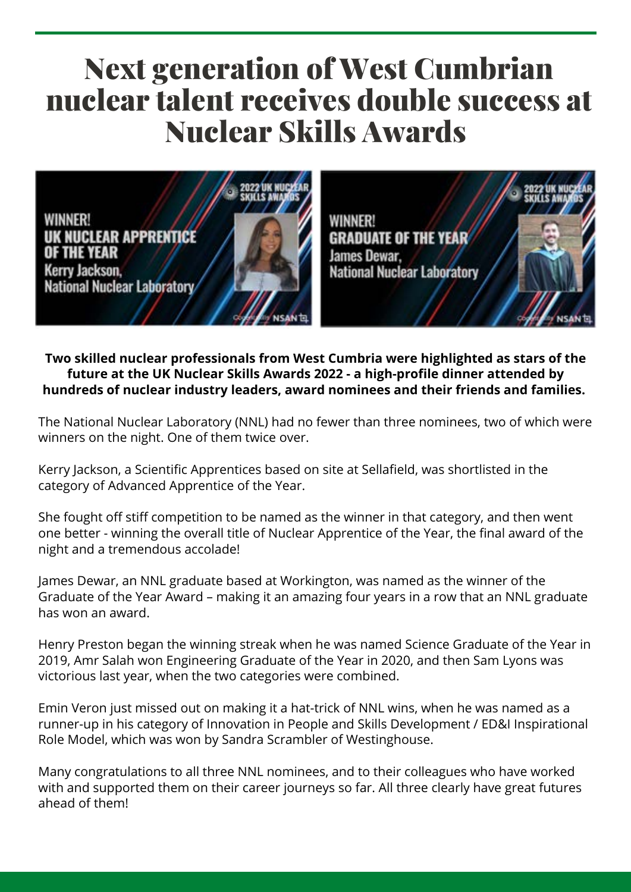### Next generation of West Cumbrian nuclear talent receives double success at Nuclear Skills Awards



**WINNER! GRADUATE OF THE YEAR** James Dewar, **National Nuclear Laboratory** 

**Two skilled nuclear professionals from West Cumbria were highlighted as stars of the future at the UK Nuclear Skills Awards 2022 - a high-profile dinner attended by hundreds of nuclear industry leaders, award nominees and their friends and families.**

The National Nuclear Laboratory (NNL) had no fewer than three nominees, two of which were winners on the night. One of them twice over.

Kerry Jackson, a Scientific Apprentices based on site at Sellafield, was shortlisted in the category of Advanced Apprentice of the Year.

She fought off stiff competition to be named as the winner in that category, and then went one better - winning the overall title of Nuclear Apprentice of the Year, the final award of the night and a tremendous accolade!

James Dewar, an NNL graduate based at Workington, was named as the winner of the Graduate of the Year Award – making it an amazing four years in a row that an NNL graduate has won an award.

Henry Preston began the winning streak when he was named Science Graduate of the Year in 2019, Amr Salah won Engineering Graduate of the Year in 2020, and then Sam Lyons was victorious last year, when the two categories were combined.

Emin Veron just missed out on making it a hat-trick of NNL wins, when he was named as a runner-up in his category of Innovation in People and Skills Development / ED&I Inspirational Role Model, which was won by Sandra Scrambler of Westinghouse.

Many congratulations to all three NNL nominees, and to their colleagues who have worked with and supported them on their career journeys so far. All three clearly have great futures ahead of them!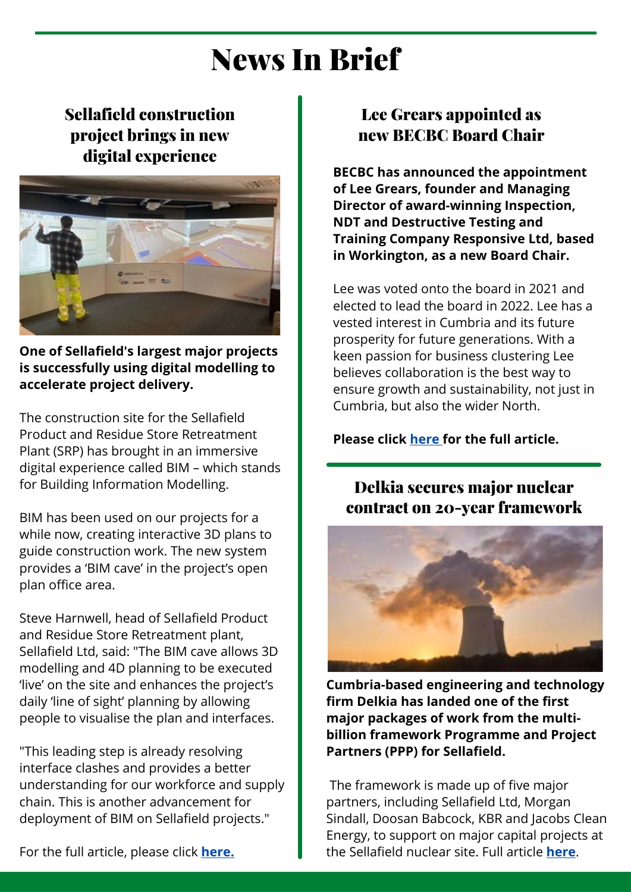### News In Brief

### Sellafield construction project brings in new digital experience



**One of Sellafield's largest major projects is successfully using digital modelling to accelerate project delivery.**

The construction site for the Sellafield Product and Residue Store Retreatment Plant (SRP) has brought in an immersive digital experience called BIM – which stands for Building Information Modelling.

BIM has been used on our projects for a while now, creating interactive 3D plans to guide construction work. The new system provides a 'BIM cave' in the project's open plan office area.

Steve Harnwell, head of Sellafield Product and Residue Store Retreatment plant, Sellafield Ltd, said: "The BIM cave allows 3D modelling and 4D planning to be executed 'live' on the site and enhances the project's daily 'line of sight' planning by allowing people to visualise the plan and interfaces.

"This leading step is already resolving interface clashes and provides a better understanding for our workforce and supply chain. This is another advancement for deployment of BIM on Sellafield projects."

For the full article, please click **[here.](https://www.gov.uk/government/news/sellafield-construction-project-brings-in-new-digital-experience)**

### Lee Grears appointed as new BECBC Board Chair

**BECBC has announced the appointment of Lee Grears, founder and Managing Director of award-winning Inspection, NDT and Destructive Testing and Training Company Responsive Ltd, based in Workington, as a new Board Chair.**

Lee was voted onto the board in 2021 and elected to lead the board in 2022. Lee has a vested interest in Cumbria and its future prosperity for future generations. With a keen passion for business clustering Lee believes collaboration is the best way to ensure growth and sustainability, not just in Cumbria, but also the wider North.

#### **Please click [here f](https://www.becbusinesscluster.co.uk/news/lee-grears-appointed-as-new-becbc-board-chair)or the full article.**

#### Delkia secures major nuclear contract on 20-year framework



**Cumbria-based engineering and technology firm Delkia has landed one of the first major packages of work from the multibillion framework Programme and Project Partners (PPP) for Sellafield.**

The framework is made up of five major partners, including Sellafield Ltd, Morgan Sindall, Doosan Babcock, KBR and Jacobs Clean Energy, to support on major capital projects at the Sellafield nuclear site. Full article **[here](https://www.delkia.co.uk/post/delkia-secures-major-nuclear-contract-on-20-year-framework)**.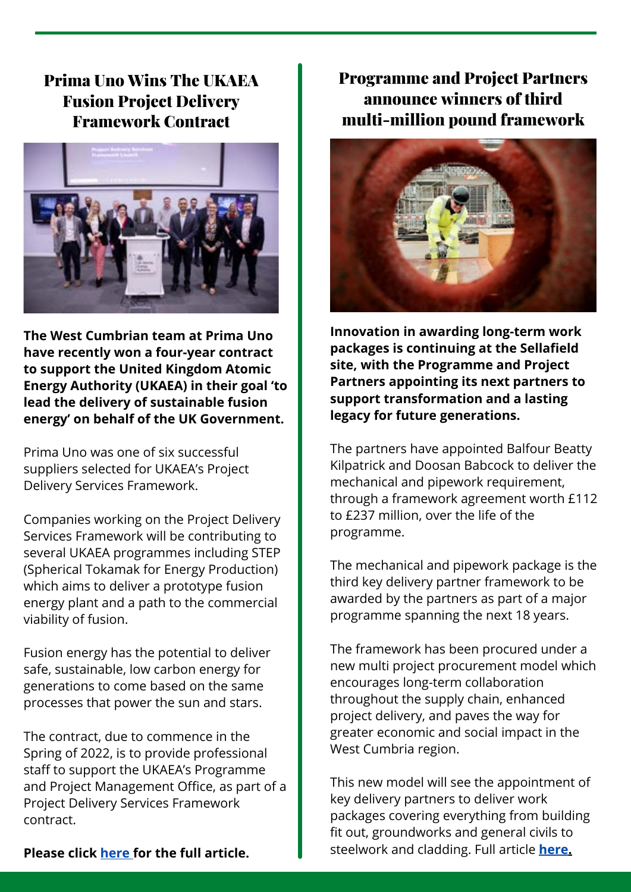#### Prima Uno Wins The UKAEA Fusion Project Delivery Framework Contract



**The West Cumbrian team at Prima Uno have recently won a four-year contract to support the United Kingdom Atomic Energy Authority (UKAEA) in their goal 'to lead the delivery of sustainable fusion energy' on behalf of the UK Government.**

Prima Uno was one of six successful suppliers selected for UKAEA's Project Delivery Services Framework.

Companies working on the Project Delivery Services Framework will be contributing to several UKAEA programmes including STEP (Spherical Tokamak for Energy Production) which aims to deliver a prototype fusion energy plant and a path to the commercial viability of fusion.

Fusion energy has the potential to deliver safe, sustainable, low carbon energy for generations to come based on the same processes that power the sun and stars.

The contract, due to commence in the Spring of 2022, is to provide professional staff to support the UKAEA's Programme and Project Management Office, as part of a Project Delivery Services Framework contract.

Programme and Project Partners announce winners of third multi-million pound framework



**Innovation in awarding long-term work packages is continuing at the Sellafield site, with the Programme and Project Partners appointing its next partners to support transformation and a lasting legacy for future generations.**

The partners have appointed Balfour Beatty Kilpatrick and Doosan Babcock to deliver the mechanical and pipework requirement, through a framework agreement worth £112 to £237 million, over the life of the programme.

The mechanical and pipework package is the third key delivery partner framework to be awarded by the partners as part of a major programme spanning the next 18 years.

The framework has been procured under a new multi project procurement model which encourages long-term collaboration throughout the supply chain, enhanced project delivery, and paves the way for greater economic and social impact in the West Cumbria region.

This new model will see the appointment of key delivery partners to deliver work packages covering everything from building fit out, groundworks and general civils to steelwork and cladding. Full article **[here.](https://www.gov.uk/government/news/programme-and-project-partners-announce-winners-of-third-multi-million-pound-framework)**

**Please click [here f](https://primauno.co.uk/uncategorized/prima-uno-wins-the-ukaea-fusion-project-delivery-framework-contract/)or the full article.**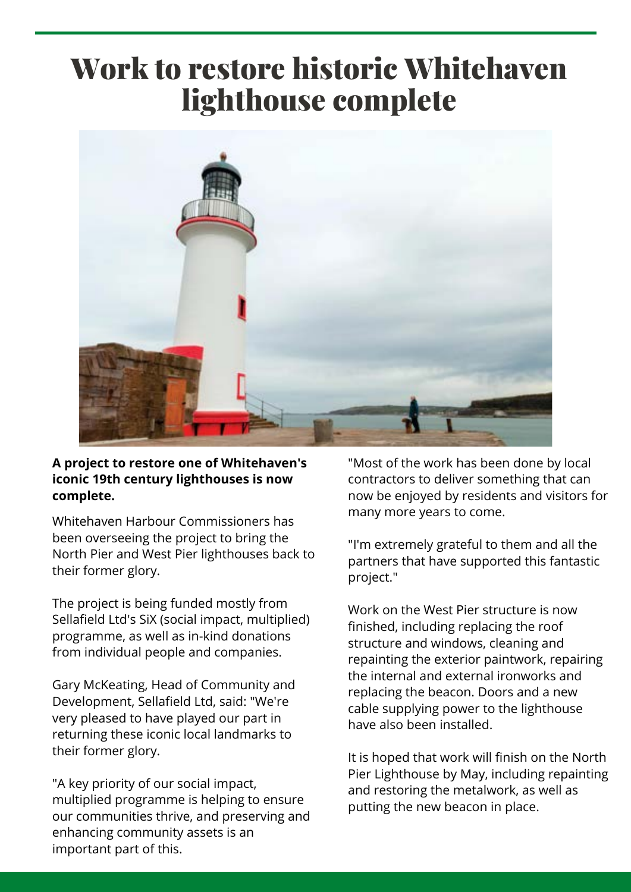### Work to restore historic Whitehaven lighthouse complete



#### **A project to restore one of Whitehaven's iconic 19th century lighthouses is now complete.**

Whitehaven Harbour Commissioners has been overseeing the project to bring the North Pier and West Pier lighthouses back to their former glory.

The project is being funded mostly from Sellafield Ltd's SiX (social impact, multiplied) programme, as well as in-kind donations from individual people and companies.

Gary McKeating, Head of Community and Development, Sellafield Ltd, said: "We're very pleased to have played our part in returning these iconic local landmarks to their former glory.

"A key priority of our social impact, multiplied programme is helping to ensure our communities thrive, and preserving and enhancing community assets is an important part of this.

"Most of the work has been done by local contractors to deliver something that can now be enjoyed by residents and visitors for many more years to come.

"I'm extremely grateful to them and all the partners that have supported this fantastic project."

Work on the West Pier structure is now finished, including replacing the roof structure and windows, cleaning and repainting the exterior paintwork, repairing the internal and external ironworks and replacing the beacon. Doors and a new cable supplying power to the lighthouse have also been installed.

It is hoped that work will finish on the North Pier Lighthouse by May, including repainting and restoring the metalwork, as well as putting the new beacon in place.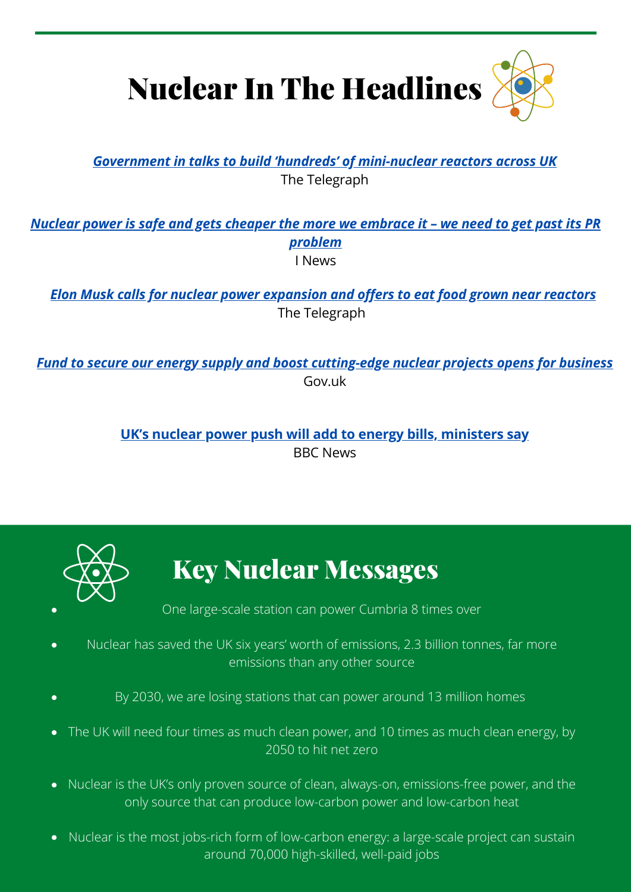

#### *[Government in talks to build 'hundreds' of mini-nuclear reactors across UK](https://www.telegraph.co.uk/business/2022/04/02/government-talks-build-hundreds-mini-nuclear-reactors-across/)* The Telegraph

*[Nuclear power is safe and gets cheaper the more we embrace it – we need to get past its PR](https://inews.co.uk/news/science/nuclear-power-safe-cheaper-uk-embrace-it-1570802) problem* I News

*[Elon Musk calls for nuclear power expansion and offers to eat food grown near reactors](https://www.independent.co.uk/news/world/americas/elon-musk-nuclear-power-food-b2030409.html)* The Telegraph

*[Fund to secure our energy supply and boost cutting-edge nuclear projects opens for business](https://www.gov.uk/government/news/fund-to-secure-our-energy-supply-and-boost-cutting-edge-nuclear-projects-opens-for-business)* Gov.uk

> **[UK's nuclear power push will add to energy bills, ministers say](https://www.bbc.co.uk/news/uk-politics-61431305)** BBC News



### Key Nuclear Messages

One large-scale station can power Cumbria 8 times over

- Nuclear has saved the UK six years' worth of emissions, 2.3 billion tonnes, far more emissions than any other source
- By 2030, we are losing stations that can power around 13 million homes  $\bullet$
- The UK will need four times as much clean power, and 10 times as much clean energy, by 2050 to hit net zero
- Nuclear is the UK's only proven source of clean, always-on, emissions-free power, and the only source that can produce low-carbon power and low-carbon heat
- Nuclear is the most jobs-rich form of low-carbon energy: a large-scale project can sustain around 70,000 high-skilled, well-paid jobs